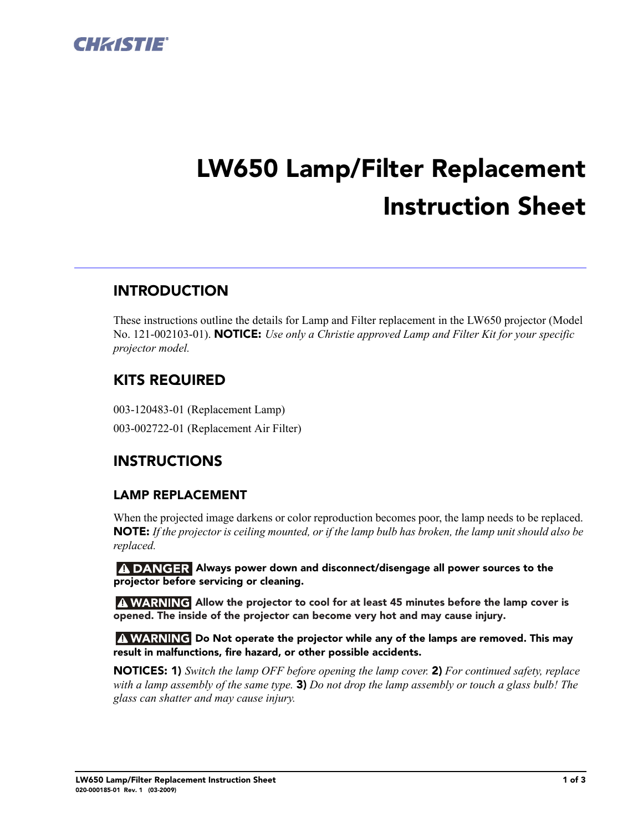

# **LW650 Lamp/Filter Replacement Instruction Sheet**

## **INTRODUCTION**

These instructions outline the details for Lamp and Filter replacement in the LW650 projector (Model No. 121-002103-01). **NOTICE:** *Use only a Christie approved Lamp and Filter Kit for your specific projector model.*

## **KITS REQUIRED**

003-120483-01 (Replacement Lamp) 003-002722-01 (Replacement Air Filter)

## **INSTRUCTIONS**

#### **LAMP REPLACEMENT**

When the projected image darkens or color reproduction becomes poor, the lamp needs to be replaced. **NOTE:** *If the projector is ceiling mounted, or if the lamp bulb has broken, the lamp unit should also be replaced.* 

 **Always power down and disconnect/disengage all power sources to the projector before servicing or cleaning.**

**Allow the projector to cool for at least 45 minutes before the lamp cover is opened. The inside of the projector can become very hot and may cause injury.**

**A WARNING** Do Not operate the projector while any of the lamps are removed. This may **result in malfunctions, fire hazard, or other possible accidents.**

**NOTICES: 1)** *Switch the lamp OFF before opening the lamp cover.* **2)** *For continued safety, replace with a lamp assembly of the same type.* **3)** *Do not drop the lamp assembly or touch a glass bulb! The glass can shatter and may cause injury.*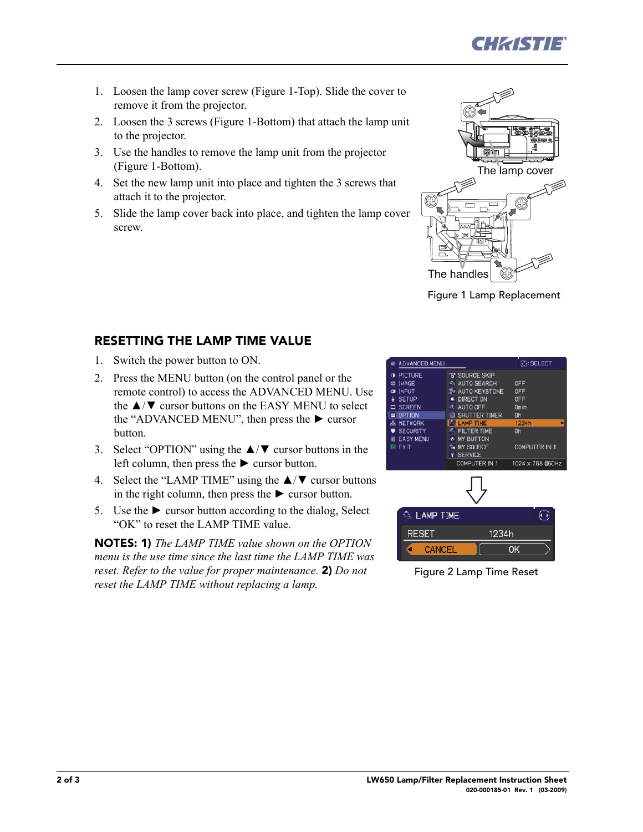

- 1. Loosen the lamp cover screw (Figure 1-Top). Slide the cover to remove it from the projector.
- 2. Loosen the 3 screws (Figure 1-Bottom) that attach the lamp unit to the projector.
- 3. Use the handles to remove the lamp unit from the projector (Figure 1-Bottom).
- 4. Set the new lamp unit into place and tighten the 3 screws that attach it to the projector.
- 5. Slide the lamp cover back into place, and tighten the lamp cover screw.



Figure 1 Lamp Replacement

#### **RESETTING THE LAMP TIME VALUE**

- 1. Switch the power button to ON.
- 2. Press the MENU button (on the control panel or the remote control) to access the ADVANCED MENU. Use the ▲/▼ cursor buttons on the EASY MENU to select the "ADVANCED MENU", then press the  $\blacktriangleright$  cursor button.
- 3. Select "OPTION" using the ▲/▼ cursor buttons in the left column, then press the  $\blacktriangleright$  cursor button.
- 4. Select the "LAMP TIME" using the  $\triangle$ / $\blacktriangledown$  cursor buttons in the right column, then press the  $\triangleright$  cursor button.
- 5. Use the  $\blacktriangleright$  cursor button according to the dialog, Select "OK" to reset the LAMP TIME value.

**NOTES: 1)** *The LAMP TIME value shown on the OPTION menu is the use time since the last time the LAMP TIME was reset. Refer to the value for proper maintenance.* **2)** *Do not reset the LAMP TIME without replacing a lamp.*

|           | <b>III ADVANCED MENU</b> |                              |    | <b>O: SELECT</b>     |                  |   |
|-----------|--------------------------|------------------------------|----|----------------------|------------------|---|
| 准         | <b>PICTURE</b>           | <b><i>TR SOURCE SKIP</i></b> |    |                      |                  |   |
| CD        | <b>IMAGE</b>             | AUTO SEARCH                  |    | OFF                  |                  |   |
| $\bullet$ | <b>INPUT</b>             | <b>E</b> AUTO KEYSTONE       |    | OFF                  |                  |   |
| ÷         | <b>SETUP</b>             | <b>E</b> DIRECT ON           |    | OFF                  |                  |   |
| ▭         | <b>SCREEN</b>            | <b>C: AUTO OFF</b>           |    | Omin                 |                  |   |
|           | <b>a</b> OPTION          | <b>B SHUTTER TIMER</b>       | Oh |                      |                  |   |
|           | & NETWORK                | <b>LAMP TIME</b>             |    | 1234h                |                  | в |
|           | <b>SECURITY</b>          | <b>ELTER TIME</b>            | Ūh |                      |                  |   |
| 霸         | <b>EASY MENU</b>         | MY BUTTON                    |    |                      |                  |   |
|           | 园 EXIT                   | <b>&amp; MY SOURCE</b>       |    | <b>COMPUTER IN 1</b> |                  |   |
|           |                          | <b>SERVICE</b><br>Ý          |    |                      |                  |   |
|           |                          | COMPUTER IN 1                |    |                      | 1024 x 768 @60Hz |   |
|           |                          |                              |    |                      |                  |   |
|           | <b>A LAMP TIME</b>       |                              |    |                      | (∢ )             |   |
|           | <b>RESET</b>             | 1234h                        |    |                      |                  |   |
|           | <b>CANICEI</b><br>и      |                              | ΩK |                      |                  |   |

Figure 2 Lamp Time Reset